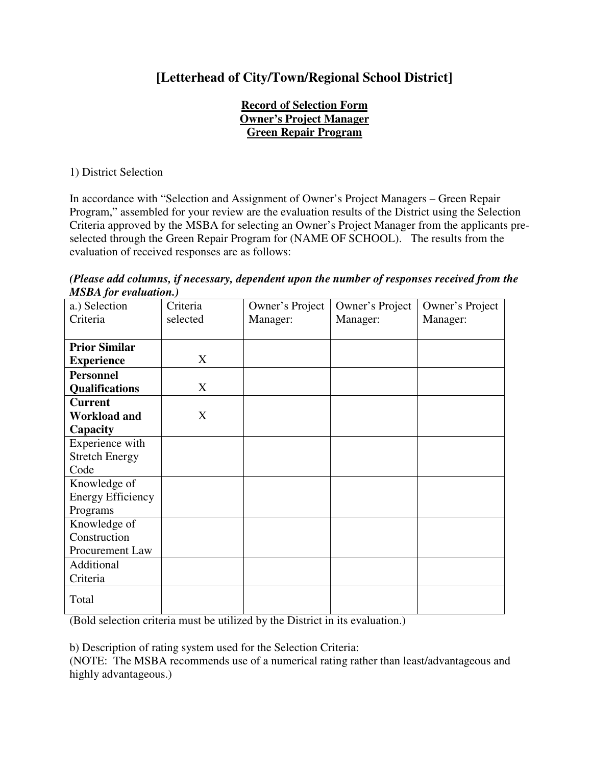## **[Letterhead of City/Town/Regional School District]**

## **Record of Selection Form Owner's Project Manager Green Repair Program**

1) District Selection

In accordance with "Selection and Assignment of Owner's Project Managers – Green Repair Program," assembled for your review are the evaluation results of the District using the Selection Criteria approved by the MSBA for selecting an Owner's Project Manager from the applicants preselected through the Green Repair Program for (NAME OF SCHOOL). The results from the evaluation of received responses are as follows:

*(Please add columns, if necessary, dependent upon the number of responses received from the MSBA for evaluation.)* 

| a.) Selection            | Criteria | Owner's Project | Owner's Project | Owner's Project |
|--------------------------|----------|-----------------|-----------------|-----------------|
| Criteria                 | selected | Manager:        | Manager:        | Manager:        |
|                          |          |                 |                 |                 |
| <b>Prior Similar</b>     |          |                 |                 |                 |
| <b>Experience</b>        | X        |                 |                 |                 |
| <b>Personnel</b>         |          |                 |                 |                 |
| <b>Qualifications</b>    | X        |                 |                 |                 |
| <b>Current</b>           |          |                 |                 |                 |
| <b>Workload and</b>      | X        |                 |                 |                 |
| Capacity                 |          |                 |                 |                 |
| Experience with          |          |                 |                 |                 |
| <b>Stretch Energy</b>    |          |                 |                 |                 |
| Code                     |          |                 |                 |                 |
| Knowledge of             |          |                 |                 |                 |
| <b>Energy Efficiency</b> |          |                 |                 |                 |
| Programs                 |          |                 |                 |                 |
| Knowledge of             |          |                 |                 |                 |
| Construction             |          |                 |                 |                 |
| <b>Procurement Law</b>   |          |                 |                 |                 |
| Additional               |          |                 |                 |                 |
| Criteria                 |          |                 |                 |                 |
| Total                    |          |                 |                 |                 |

(Bold selection criteria must be utilized by the District in its evaluation.)

b) Description of rating system used for the Selection Criteria:

(NOTE: The MSBA recommends use of a numerical rating rather than least/advantageous and highly advantageous.)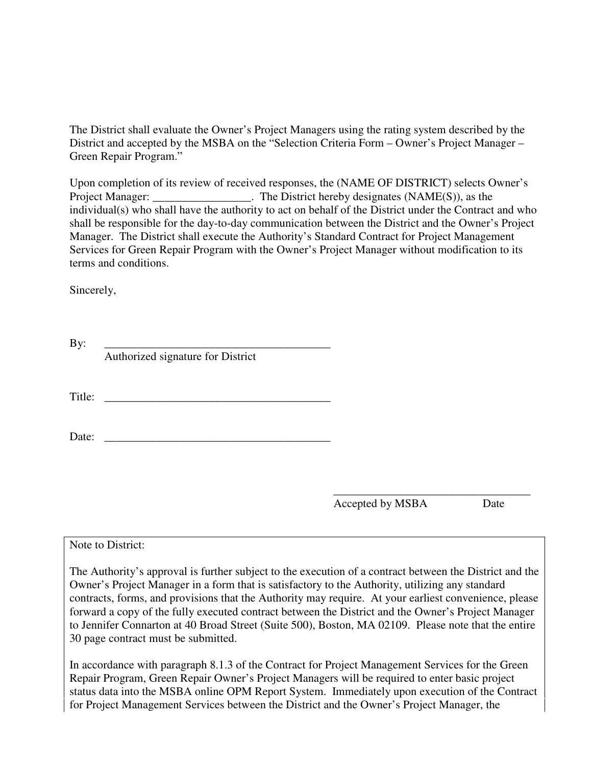The District shall evaluate the Owner's Project Managers using the rating system described by the District and accepted by the MSBA on the "Selection Criteria Form – Owner's Project Manager – Green Repair Program."

Upon completion of its review of received responses, the (NAME OF DISTRICT) selects Owner's Project Manager: \_\_\_\_\_\_\_\_\_\_\_\_\_\_\_\_\_. The District hereby designates (NAME(S)), as the individual(s) who shall have the authority to act on behalf of the District under the Contract and who shall be responsible for the day-to-day communication between the District and the Owner's Project Manager. The District shall execute the Authority's Standard Contract for Project Management Services for Green Repair Program with the Owner's Project Manager without modification to its terms and conditions.

Sincerely,

| By:    |                                   |
|--------|-----------------------------------|
|        | Authorized signature for District |
|        |                                   |
|        |                                   |
| Title: |                                   |
|        |                                   |
| Date:  |                                   |
|        |                                   |

\_\_\_\_\_\_\_\_\_\_\_\_\_\_\_\_\_\_\_\_\_\_\_\_\_\_\_\_\_\_\_\_\_\_ Accepted by MSBA Date

Note to District:

The Authority's approval is further subject to the execution of a contract between the District and the Owner's Project Manager in a form that is satisfactory to the Authority, utilizing any standard contracts, forms, and provisions that the Authority may require. At your earliest convenience, please forward a copy of the fully executed contract between the District and the Owner's Project Manager to Jennifer Connarton at 40 Broad Street (Suite 500), Boston, MA 02109. Please note that the entire 30 page contract must be submitted.

In accordance with paragraph 8.1.3 of the Contract for Project Management Services for the Green Repair Program, Green Repair Owner's Project Managers will be required to enter basic project status data into the MSBA online OPM Report System. Immediately upon execution of the Contract for Project Management Services between the District and the Owner's Project Manager, the